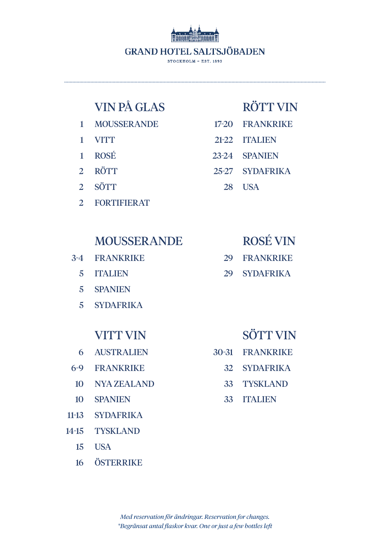

.............................................................................................................................................................................................

# VIN PÅ GLAS

- 1 MOUSSERANDE
- 1 **VITT**
- 1 ROSÉ
- 2 **RÖTT**
- 2 **SÖTT**
- 2 FORTIFIERAT

## MOUSSERANDE

- 3-4 FRANKRIKE
	- 5 ITALIEN
	- 5 SPANIEN
	- 5 SYDAFRIKA

## VITT VIN

- 6 AUSTRALIEN
- 6-9 FRANKRIKE
- 10 NYA ZEALAND
- 10 **SPANIEN**
- 11-13 SYDAFRIKA
- 14-15 **TYSKLAND** 
	- 15 USA
	- 16 **ÖSTERRIKE**

# RÖTT VIN

- 17-20 FRANKRIKE
- 21-22 ITALIEN
- 23-24 SPANIEN
- 25-27 SYDAFRIKA
	- 28 USA

# ROSÉ VIN

- 29 FRANKRIKE
- 29 SYDAFRIKA

# SÖTT VIN

- 30-31 FRANKRIKE
	- 32 SYDAFRIKA
	- 33 TYSKLAND
	- 33 ITALIEN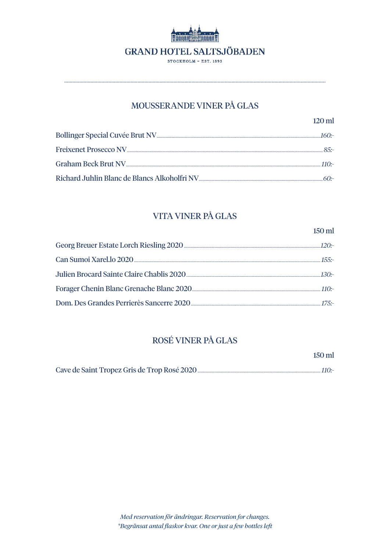

### MOUSSERANDE VINER PÅ GLAS

| $120 \text{ ml}$ |
|------------------|
| 160-             |
| $85 -$           |
| 110 -            |
|                  |

## VITA VINER PÅ GLAS

|                                                                    | $150$ ml |
|--------------------------------------------------------------------|----------|
|                                                                    |          |
|                                                                    |          |
|                                                                    |          |
| Forager Chenin Blanc Grenache Blanc 2020                           |          |
| Dom. Des Grandes Perrierès Sancerre 2020 [201] [2010] [2010] [25:- |          |

## ROSÉ VINER PÅ GLAS

|                                                                                                                | 150 ml |
|----------------------------------------------------------------------------------------------------------------|--------|
| Cave de Saint Tropez Gris de Trop Rosé 2020 [10] The Saint Tropez Gris de Trop Rosé 2020 [10] The Saint Tropez |        |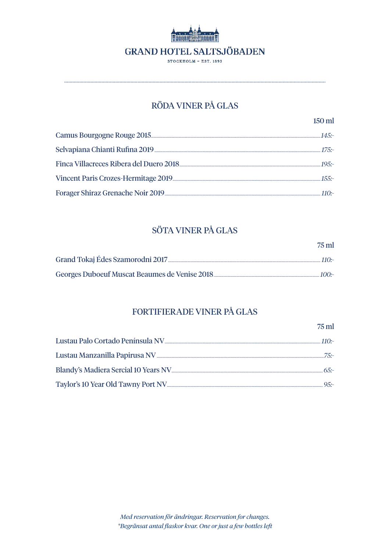

STOCKHOLM - EST. 1893

## RÖDA VINER PÅ GLAS

 $75$  ml

## SÖTA VINER PÅ GLAS

| $75 \text{ ml}$ |
|-----------------|
| $110 -$         |
| $100 -$         |

### FORTIFIERADE VINER PÅ GLAS

| $110 -$ |
|---------|
|         |
|         |
|         |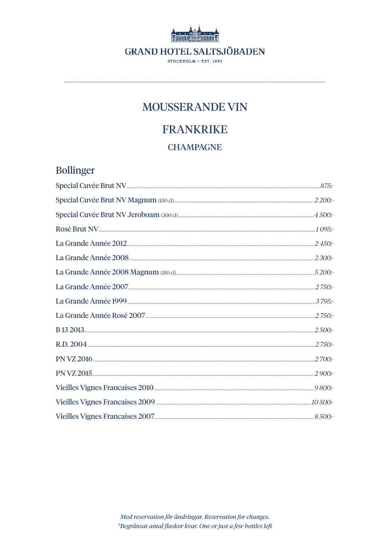

# MOUSSERANDE VIN

# **FRANKRIKE**

### **CHAMPAGNE**

# **Bollinger**

| La Grande Année 2012 <u>[11]</u> 2450 :- |  |
|------------------------------------------|--|
|                                          |  |
|                                          |  |
|                                          |  |
|                                          |  |
|                                          |  |
|                                          |  |
|                                          |  |
|                                          |  |
|                                          |  |
|                                          |  |
|                                          |  |
|                                          |  |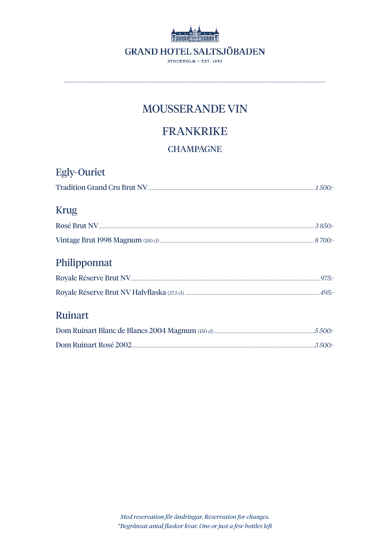

# MOUSSERANDE VIN

# **FRANKRIKE**

### **CHAMPAGNE**

| <b>Egly-Ouriet</b> |  |
|--------------------|--|
|                    |  |
| <b>Krug</b>        |  |
|                    |  |
|                    |  |
| Philipponnat       |  |
|                    |  |
|                    |  |
| <b>Ruinart</b>     |  |
|                    |  |
|                    |  |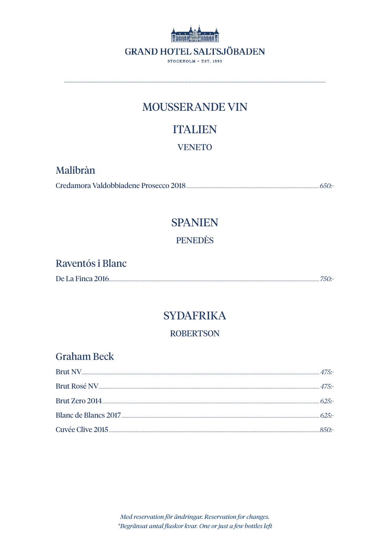

## MOUSSERANDE VIN

# **ITALIEN**

**VENETO** 

## Malibràn

# **SPANIEN**

**PENEDÈS** 

| Raventós i Blanc  |         |
|-------------------|---------|
| De La Finca 2016. | . 750:- |

# **SYDAFRIKA**

### **ROBERTSON**

| <b>Graham Beck</b> |  |
|--------------------|--|
|                    |  |
|                    |  |
|                    |  |
|                    |  |
|                    |  |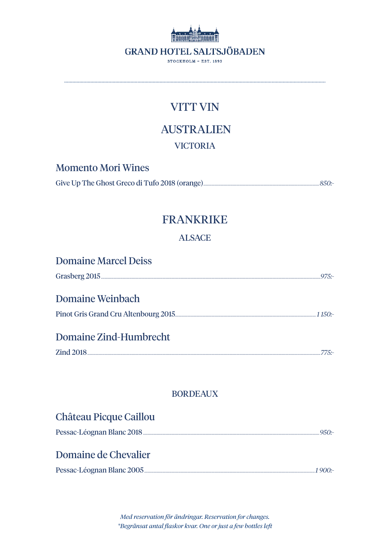

# **AUSTRALIEN**

### **VICTORIA**

**Momento Mori Wines** 

## **FRANKRIKE**

### **ALSACE**

| <b>Domaine Marcel Deiss</b> |         |
|-----------------------------|---------|
|                             | $975 -$ |
| <b>Domaine Weinbach</b>     |         |
|                             | 1150:   |
| Domaine Zind-Humbrecht      |         |
|                             | 775 -   |
|                             |         |

### **BORDEAUX**

| <b>Château Picque Caillou</b> |         |
|-------------------------------|---------|
|                               | $950 -$ |
| Domaine de Chevalier          |         |
|                               | 1 900:- |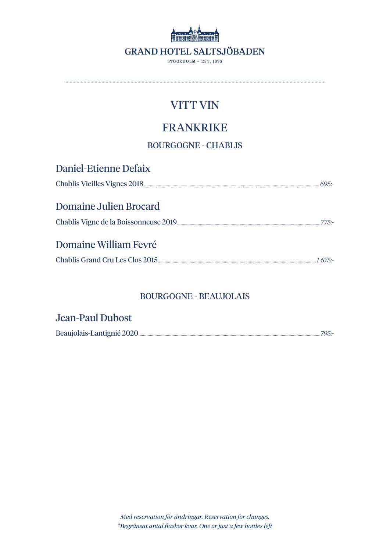

.............................................................................................................................................................................................

# FRANKRIKE

BOURGOGNE - CHABLIS

| <b>Daniel-Etienne Defaix</b> |  |
|------------------------------|--|
|                              |  |
| Domaine Julien Brocard       |  |
| $775 -$                      |  |
| Domaine William Fevré        |  |
|                              |  |

### BOURGOGNE - BEAUJOLAIS

| <b>Jean-Paul Dubost</b> |       |
|-------------------------|-------|
|                         | 795:- |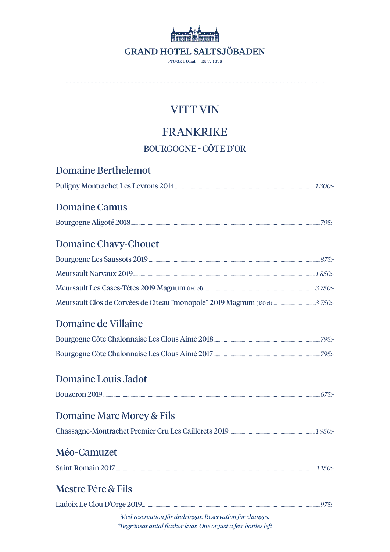

# **FRANKRIKE**

**BOURGOGNE - CÔTE D'OR** 

| Domaine Berthelemot                                     |  |
|---------------------------------------------------------|--|
|                                                         |  |
| <b>Domaine Camus</b>                                    |  |
|                                                         |  |
| <b>Domaine Chavy-Chouet</b>                             |  |
|                                                         |  |
|                                                         |  |
|                                                         |  |
|                                                         |  |
| Domaine de Villaine                                     |  |
|                                                         |  |
|                                                         |  |
| <b>Domaine Louis Jadot</b>                              |  |
|                                                         |  |
| Domaine Marc Morey & Fils                               |  |
|                                                         |  |
| Méo-Camuzet                                             |  |
|                                                         |  |
| <b>Mestre Père &amp; Fils</b>                           |  |
|                                                         |  |
| Med reservation för ändringar. Reservation for changes. |  |

\*Begränsat antal flaskor kvar. One or just a few bottles left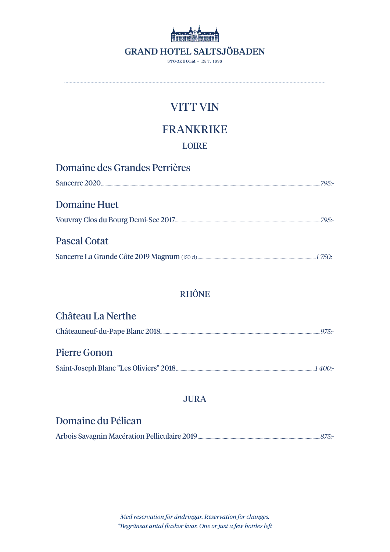

## **FRANKRIKE**

### **LOIRE**

 $\ddot{\phantom{a}}$ 

| Domaine des Grandes Perrières |          |
|-------------------------------|----------|
|                               | $79.5 -$ |
| <b>Domaine Huet</b>           |          |
|                               | $79.5 -$ |
| <b>Pascal Cotat</b>           |          |
|                               |          |

### **RHÔNE**

| <b>Château La Nerthe</b> |           |
|--------------------------|-----------|
|                          | $-975$ :- |

### **Pierre Gonon**

Saint-Joseph Blanc "Les Oliviers" 2018 [11] Marcelline and Marcelline and Marcelline and Marcelline and Marcelline and Marcelline and Marcelline and Marcelline and Marcelline and Marcelline and Marcelline and Marcelline an

### **JURA**

## Domaine du Pélican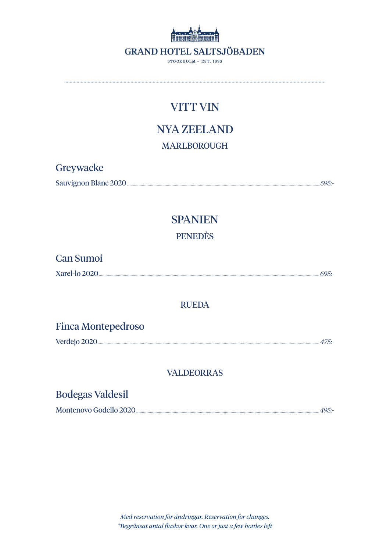

# **NYA ZEELAND MARLBOROUGH**

| Greywacke             |       |
|-----------------------|-------|
| Sauvignon Blanc 2020. | 595:- |

## **SPANIEN PENEDÈS**

| <b>Can Sumoi</b> |  |
|------------------|--|
| Xarel-lo 2020.   |  |

#### **RUEDA**

### **Finca Montepedroso**

### **VALDEORRAS**

## **Bodegas Valdesil**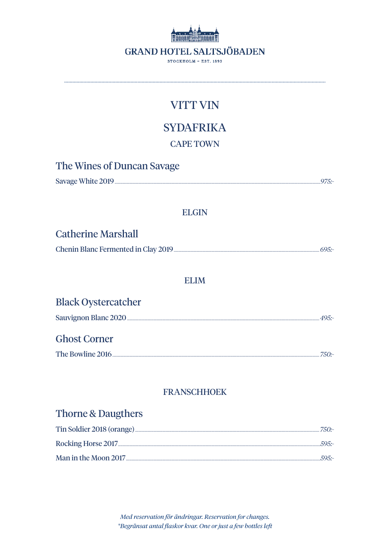

**SYDAFRIKA** 

### **CAPE TOWN**

| The Wines of Duncan Savage |          |
|----------------------------|----------|
|                            | $.975 -$ |

### **ELGIN**

### **Catherine Marshall**

### **ELIM**

| <b>Black Oystercatcher</b> |      |
|----------------------------|------|
|                            | 495. |
| <b>Ghost Corner</b>        |      |
|                            | 750: |

### **FRANSCHHOEK**

## Thorne & Daugthers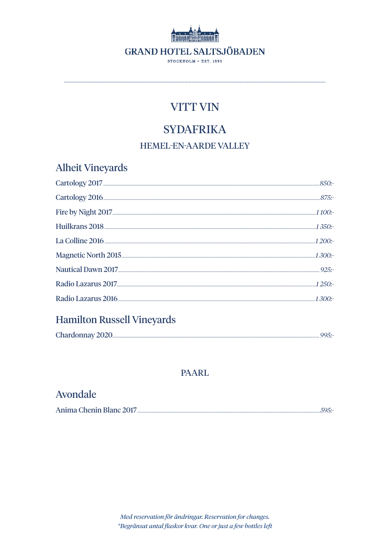

# **SYDAFRIKA**

### **HEMEL-EN-AARDE VALLEY**

**Alheit Vineyards** 

| La Colline 2016 <u>[</u> [1200] La Colline 2016 [[1200] La Colline 2016 [[1200] La Colline 2016 [[1200] La Colline 2016 |  |
|-------------------------------------------------------------------------------------------------------------------------|--|
|                                                                                                                         |  |
|                                                                                                                         |  |
|                                                                                                                         |  |
|                                                                                                                         |  |
|                                                                                                                         |  |

## **Hamilton Russell Vineyards**

| Chardonnay 2020. |  |
|------------------|--|
|------------------|--|

#### **PAARL**

## Avondale

| Anima Chenin Blanc 2017. |  |
|--------------------------|--|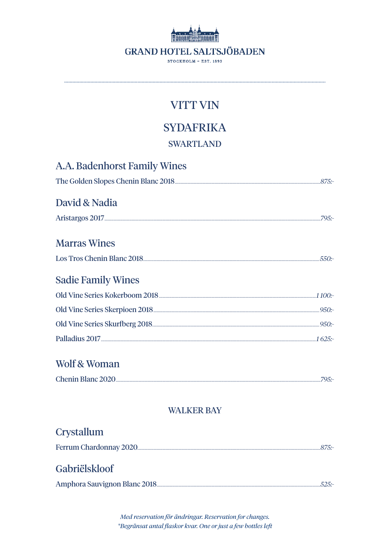

## **SYDAFRIKA**

### **SWARTLAND**

A.A. Badenhorst Family Wines

| David & Nadia             |  |
|---------------------------|--|
|                           |  |
| <b>Marras Wines</b>       |  |
|                           |  |
| <b>Sadie Family Wines</b> |  |
|                           |  |
|                           |  |
|                           |  |
|                           |  |
| Wolf & Woman              |  |
| Chenin Blanc 2020         |  |
| <b>WALKER BAY</b>         |  |
|                           |  |
| Crystallum                |  |
|                           |  |
| Gabriëlskloof             |  |
|                           |  |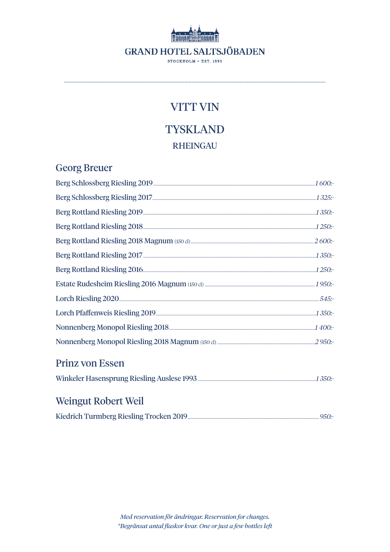# **GRAND HOTEL SALTSJÖBADEN** STOCKHOLM - EST. 1893

## **VITT VIN**

# **TYSKLAND RHEINGAU**

## **Georg Breuer**

| Berg Schlossberg Riesling 2019 [1600:16] The Schlossberg Riesling 2019 [1600:16] All and Manual Manual Manual Manual Manual Manual Manual Manual Manual Manual Manual Manual Manual Manual Manual Manual Manual Manual Manual |  |
|-------------------------------------------------------------------------------------------------------------------------------------------------------------------------------------------------------------------------------|--|
|                                                                                                                                                                                                                               |  |
|                                                                                                                                                                                                                               |  |
|                                                                                                                                                                                                                               |  |
|                                                                                                                                                                                                                               |  |
|                                                                                                                                                                                                                               |  |
|                                                                                                                                                                                                                               |  |
|                                                                                                                                                                                                                               |  |
|                                                                                                                                                                                                                               |  |
|                                                                                                                                                                                                                               |  |
| Nonnenberg Monopol Riesling 2018 [100] [2018] [2018] [2018] [2018] [2019] [2019] [2019] [2019] [2019] [2019] [                                                                                                                |  |
|                                                                                                                                                                                                                               |  |
| <b>Prinz von Essen</b>                                                                                                                                                                                                        |  |

# Weingut Robert Weil

|--|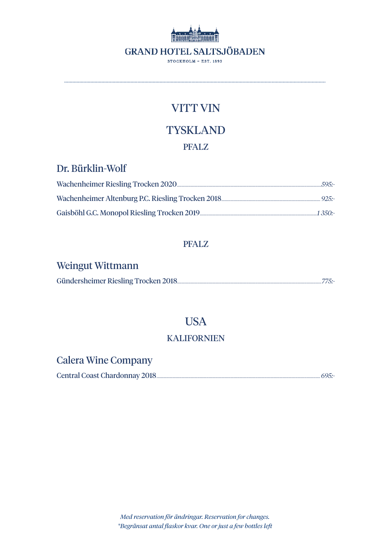

.............................................................................................................................................................................................

# **TYSKLAND**

## PFALZ

## Dr. Bürklin-Wolf

### PFALZ

# Weingut Wittmann

### USA

### KALIFORNIEN

# Calera Wine Company

Central Coast Chardonnay 2018................................................................................................................................................ *695:-*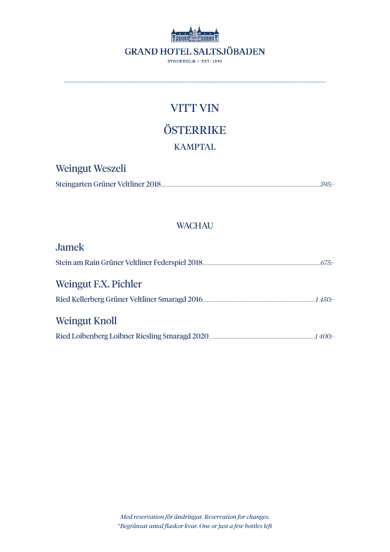

.............................................................................................................................................................................................

**ÖSTERRIKE** KAMPTAL

## Weingut Weszeli

|--|

### **WACHAU**

| <b>Jamek</b>                                                                                              |  |
|-----------------------------------------------------------------------------------------------------------|--|
|                                                                                                           |  |
| Weingut F.X. Pichler                                                                                      |  |
| Ried Kellerberg Grüner Veltliner Smaragd 2016 [2016] [2016] Ried Kellerberg Grüner Veltliner Smaragd 2016 |  |
| Weingut Knoll                                                                                             |  |
|                                                                                                           |  |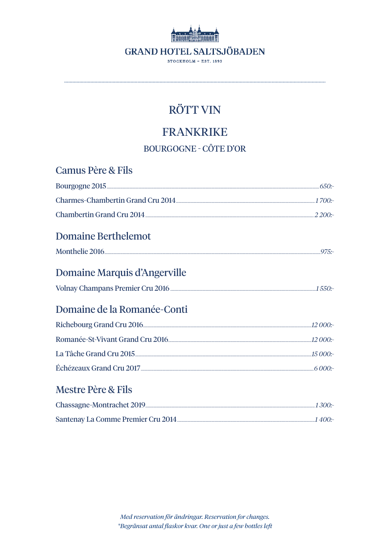

# **FRANKRIKE**

**BOURGOGNE - CÔTE D'OR** 

| <b>Camus Père &amp; Fils</b>  |  |
|-------------------------------|--|
|                               |  |
|                               |  |
|                               |  |
| <b>Domaine Berthelemot</b>    |  |
|                               |  |
| Domaine Marquis d'Angerville  |  |
|                               |  |
| Domaine de la Romanée-Conti   |  |
|                               |  |
|                               |  |
|                               |  |
|                               |  |
| <b>Mestre Père &amp; Fils</b> |  |
|                               |  |
|                               |  |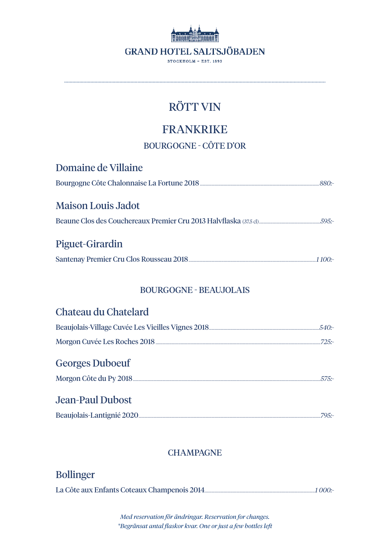

.............................................................................................................................................................................................

# FRANKRIKE

BOURGOGNE - CÔTE D'OR

| <b>Domaine de Villaine</b>    |  |
|-------------------------------|--|
|                               |  |
| Maison Louis Jadot            |  |
|                               |  |
|                               |  |
|                               |  |
| Piguet-Girardin               |  |
|                               |  |
|                               |  |
| <b>BOURGOGNE - BEAUJOLAIS</b> |  |
| Chateau du Chatelard          |  |
|                               |  |
|                               |  |
| <b>Georges Duboeuf</b>        |  |

# Morgon Côte du Py 2018.....................................................................................................................................................................*575:-* Jean-Paul Dubost

### **CHAMPAGNE**

## Bollinger

La Côte aux Enfants Coteaux Champenois 2014.................................................................................................*1 000:-*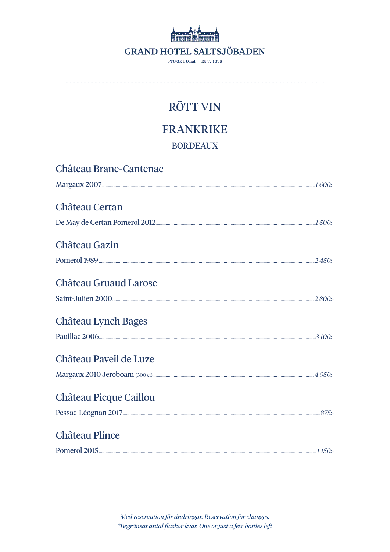

**FRANKRIKE** 

### **BORDEAUX**

| <b>Château Brane-Cantenac</b> |  |
|-------------------------------|--|
|                               |  |
| <b>Château Certan</b>         |  |
|                               |  |
| Château Gazin                 |  |
|                               |  |
| <b>Château Gruaud Larose</b>  |  |
|                               |  |
| <b>Château Lynch Bages</b>    |  |
|                               |  |
| Château Paveil de Luze        |  |
|                               |  |
| <b>Château Picque Caillou</b> |  |
|                               |  |
| <b>Château Plince</b>         |  |
|                               |  |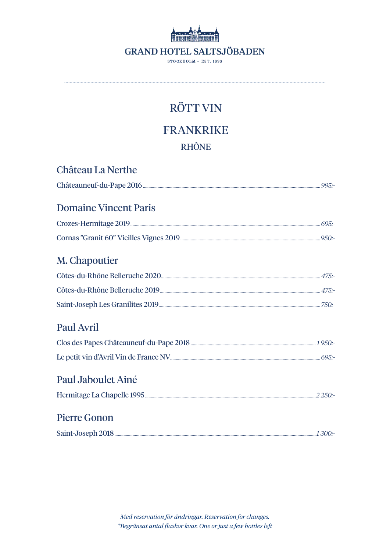

**FRANKRIKE RHÔNE** 

| Château La Nerthe                                                                                               |  |
|-----------------------------------------------------------------------------------------------------------------|--|
|                                                                                                                 |  |
| <b>Domaine Vincent Paris</b>                                                                                    |  |
|                                                                                                                 |  |
|                                                                                                                 |  |
| M. Chapoutier                                                                                                   |  |
|                                                                                                                 |  |
|                                                                                                                 |  |
|                                                                                                                 |  |
| <b>Paul Avril</b>                                                                                               |  |
| Clos des Papes Châteauneuf-du-Pape 2018 [2018] [2013] [2013] [2014] [2015] [2016] [2016] [2016] [2016] [2016] [ |  |
|                                                                                                                 |  |
| Paul Jaboulet Ainé                                                                                              |  |
|                                                                                                                 |  |
| Pierre Gonon                                                                                                    |  |
|                                                                                                                 |  |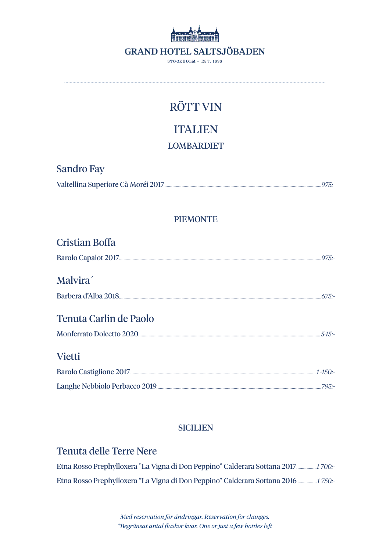

# **ITALIEN**

### **LOMBARDIET**

## **Sandro Fay**

|--|--|

### **PIEMONTE**

| <b>Cristian Boffa</b>  |  |
|------------------------|--|
|                        |  |
| Malvira <sup>'</sup>   |  |
|                        |  |
| Tenuta Carlin de Paolo |  |
|                        |  |
| <b>Vietti</b>          |  |
|                        |  |
|                        |  |

### **SICILIEN**

## **Tenuta delle Terre Nere**

| Etna Rosso Prephylloxera "La Vigna di Don Peppino" Calderara Sottana 2017 1700.- |  |
|----------------------------------------------------------------------------------|--|
| Etna Rosso Prephylloxera "La Vigna di Don Peppino" Calderara Sottana 2016  1750. |  |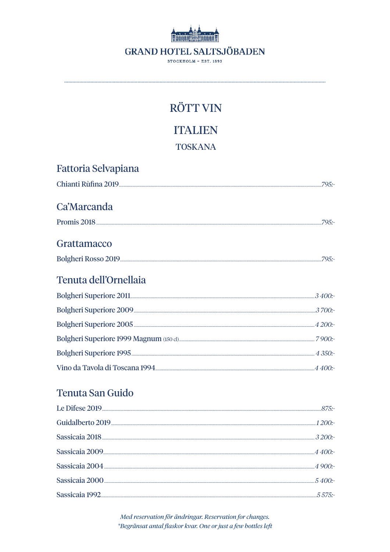

**ITALIEN** 

**TOSKANA** 

| <b>Fattoria Selvapiana</b> |  |
|----------------------------|--|
|                            |  |
| Ca'Marcanda                |  |
|                            |  |
| Grattamacco                |  |
|                            |  |
| Tenuta dell'Ornellaia      |  |
|                            |  |
|                            |  |
|                            |  |
|                            |  |
|                            |  |
|                            |  |

## Tenuta San Guido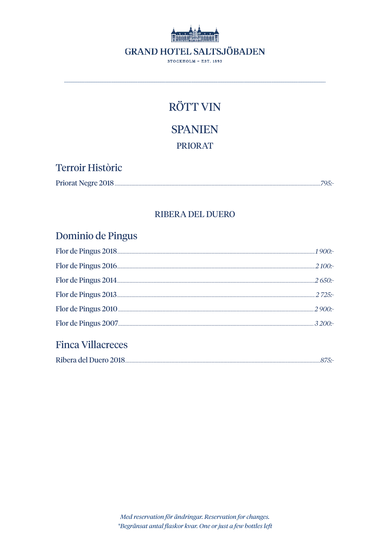

**SPANIEN** 

**PRIORAT** 

## **Terroir Històric**

| <b>Priorat Negre 2018</b> |
|---------------------------|
|---------------------------|

### **RIBERA DEL DUERO**

## Dominio de Pingus

|                                                                                                                | $2100$ :- |
|----------------------------------------------------------------------------------------------------------------|-----------|
|                                                                                                                |           |
|                                                                                                                | $2.725 -$ |
| Flor de Pingus 2010 <b>Manual Europe Communication</b> Contract Pingus 2010 <b>Manual Europe Communication</b> |           |
|                                                                                                                |           |
|                                                                                                                |           |

## **Finca Villacreces**

| Ribera del Duero 2018 |  |
|-----------------------|--|
|-----------------------|--|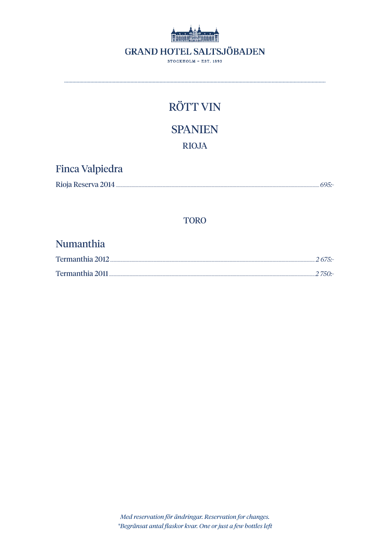

# **RÖTT VIN SPANIEN RIOJA**

## Finca Valpiedra

| Rioja Reserva 2014. |
|---------------------|
|---------------------|

#### **TORO**

## Numanthia

| Termanthia 2011. | $-2750$ :- |
|------------------|------------|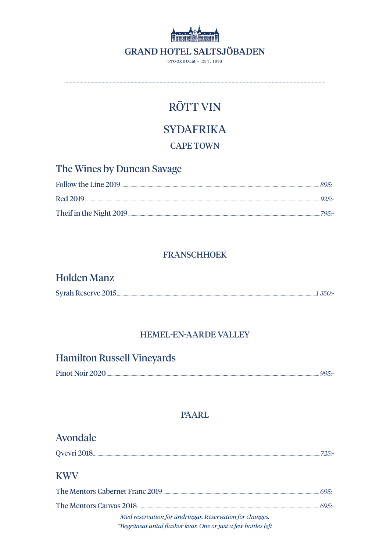

# **SYDAFRIKA**

#### **CAPE TOWN**

| The Wines by Duncan Savage |  |
|----------------------------|--|
|                            |  |
|                            |  |
|                            |  |

### **FRANSCHHOEK**

### **Holden Manz**

### **HEMEL-EN-AARDE VALLEY**

## **Hamilton Russell Vineyards**

| Pinot Noir 2020 |  |
|-----------------|--|
|                 |  |

### **PAARL**

# Avondale **KWV** Med reservation för ändringar. Reservation for changes.

\*Begränsat antal flaskor kvar. One or just a few bottles left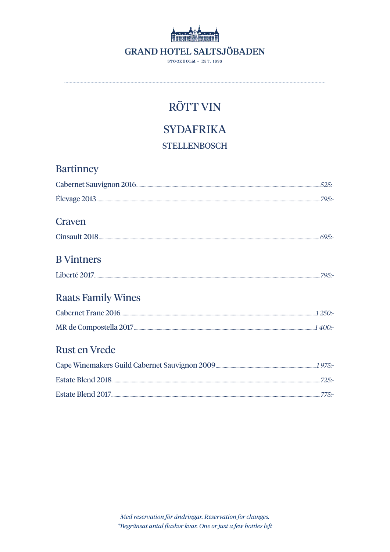

# **SYDAFRIKA**

**STELLENBOSCH** 

| <b>Bartinney</b>          |  |
|---------------------------|--|
|                           |  |
|                           |  |
| Craven                    |  |
|                           |  |
| <b>B</b> Vintners         |  |
|                           |  |
| <b>Raats Family Wines</b> |  |
| Cabernet Franc 2016       |  |
|                           |  |
| Rust en Vrede             |  |
|                           |  |
|                           |  |
|                           |  |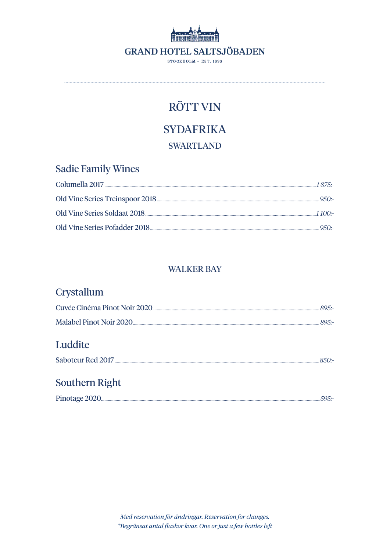

# **SYDAFRIKA**

### **SWARTLAND**

## **Sadie Family Wines**

|                              | $-950$ . |
|------------------------------|----------|
| Old Vine Series Soldaat 2018 |          |
|                              | $950 -$  |

### **WALKER BAY**

## Crystallum

| Luddite               |  |
|-----------------------|--|
| <b>Southern Right</b> |  |

| Pinotage<br>urazu. |
|--------------------|
|--------------------|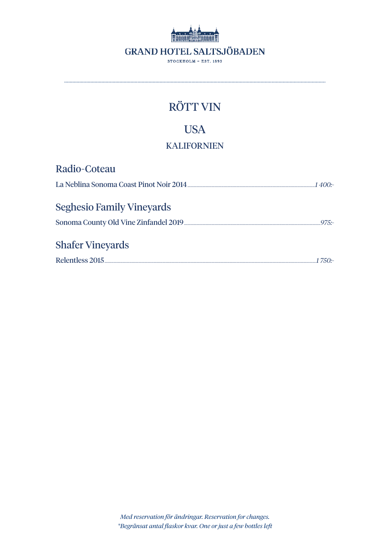

# **USA**

### **KALIFORNIEN**

| Radio-Coteau                     |          |
|----------------------------------|----------|
|                                  |          |
| <b>Seghesio Family Vineyards</b> |          |
|                                  | $97.5 -$ |
| <b>Shafer Vineyards</b>          |          |
|                                  |          |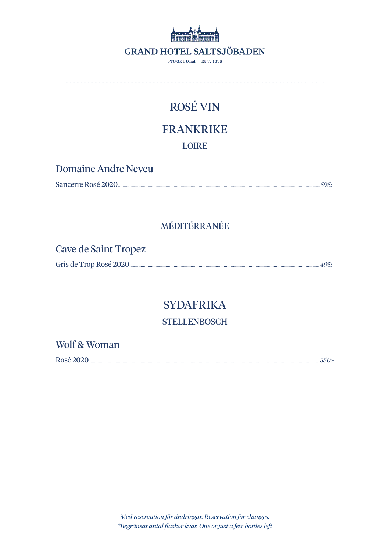

# **ROSÉ VIN**

# **FRANKRIKE**

**LOIRE** 

## Domaine Andre Neveu

| Sancerre Rosé 2020. |
|---------------------|
|---------------------|

## MÉDITÉRRANÉE

## Cave de Saint Tropez

| Gris de Trop Rosé 2020. |
|-------------------------|
|-------------------------|

# **SYDAFRIKA**

### **STELLENBOSCH**

### Wolf & Woman

Rosé 2020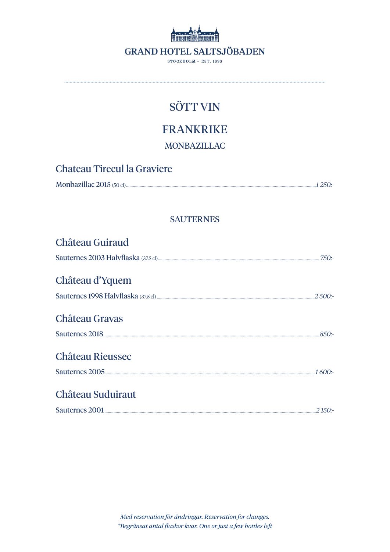

# **FRANKRIKE**

**MONBAZILLAC** 

| <b>Chateau Tirecul la Graviere</b> |            |
|------------------------------------|------------|
|                                    | $-1250$ :- |

### **SAUTERNES**

| <b>Château Guiraud</b> |  |
|------------------------|--|
|                        |  |
| Château d'Yquem        |  |
|                        |  |
| Château Gravas         |  |
|                        |  |
| Château Rieussec       |  |
|                        |  |
| Château Suduiraut      |  |
|                        |  |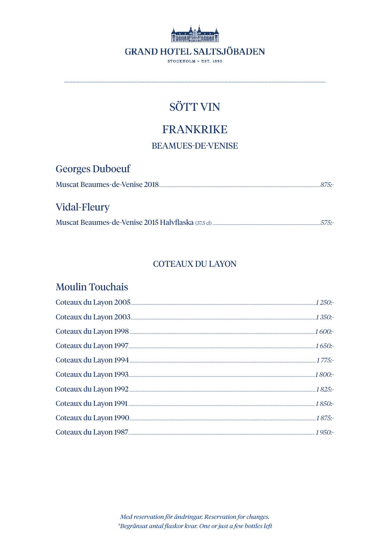

## **FRANKRIKE**

**BEAMUES-DE-VENISE** 

**Georges Duboeuf** Muscat Beaumes-de-Venise 2018

## Vidal-Fleury

### **COTEAUX DU LAYON**

### **Moulin Touchais**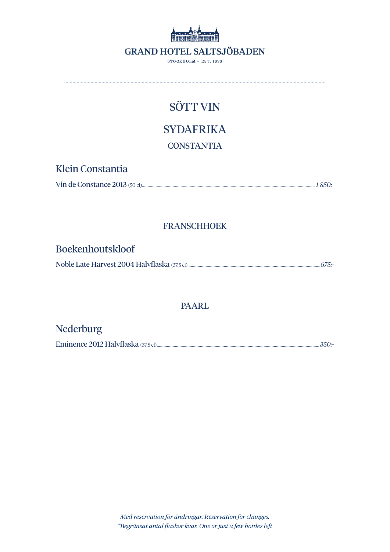

.............................................................................................................................................................................................

**SYDAFRIKA** 

**CONSTANTIA** 

Klein Constantia

|--|

### FRANSCHHOEK

### Boekenhoutskloof

Noble Late Harvest 2004 Halvflaska (37.5 cl) ....................................................................................................................*675:-*

### PAARL

## Nederburg

Eminence 2012 Halvflaska (37.5 cl)...............................................................................................................................................*350:-*